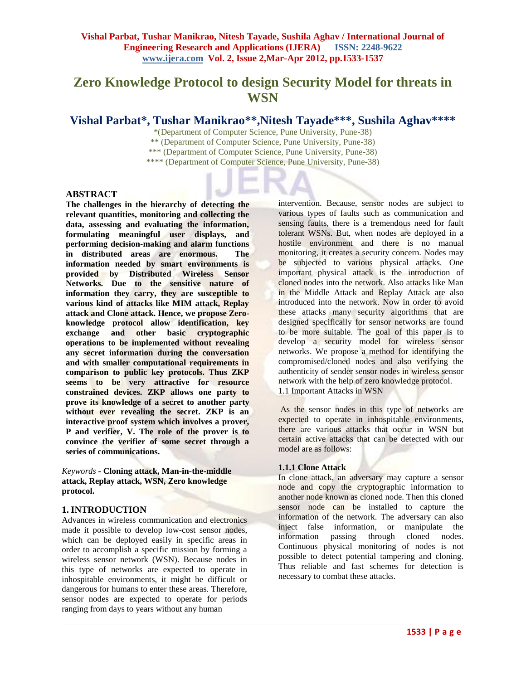# **Zero Knowledge Protocol to design Security Model for threats in WSN**

## Vishal Parbat\*, Tushar Manikrao\*\*, Nitesh Tayade\*\*\*, Sushila Aghav\*\*\*\*

\*(Department of Computer Science, Pune University, Pune-38) \*\* (Department of Computer Science, Pune University, Pune-38) \*\*\* (Department of Computer Science, Pune University, Pune-38) \*\*\*\* (Department of Computer Science, Pune University, Pune-38)

## **ABSTRACT**

**The challenges in the hierarchy of detecting the relevant quantities, monitoring and collecting the data, assessing and evaluating the information, formulating meaningful user displays, and performing decision-making and alarm functions in distributed areas are enormous. The information needed by smart environments is provided by Distributed Wireless Sensor Networks. Due to the sensitive nature of information they carry, they are susceptible to various kind of attacks like MIM attack, Replay attack and Clone attack. Hence, we propose Zeroknowledge protocol allow identification, key exchange and other basic cryptographic operations to be implemented without revealing any secret information during the conversation and with smaller computational requirements in comparison to public key protocols. Thus ZKP seems to be very attractive for resource constrained devices. ZKP allows one party to prove its knowledge of a secret to another party without ever revealing the secret. ZKP is an interactive proof system which involves a prover, P and verifier, V. The role of the prover is to convince the verifier of some secret through a series of communications.**

*Keywords* **- Cloning attack, Man-in-the-middle attack, Replay attack, WSN, Zero knowledge protocol.**

## **1. INTRODUCTION**

Advances in wireless communication and electronics made it possible to develop low-cost sensor nodes, which can be deployed easily in specific areas in order to accomplish a specific mission by forming a wireless sensor network (WSN). Because nodes in this type of networks are expected to operate in inhospitable environments, it might be difficult or dangerous for humans to enter these areas. Therefore, sensor nodes are expected to operate for periods ranging from days to years without any human

intervention. Because, sensor nodes are subject to various types of faults such as communication and sensing faults, there is a tremendous need for fault tolerant WSNs. But, when nodes are deployed in a hostile environment and there is no manual monitoring, it creates a security concern. Nodes may be subjected to various physical attacks. One important physical attack is the introduction of cloned nodes into the network. Also attacks like Man in the Middle Attack and Replay Attack are also introduced into the network. Now in order to avoid these attacks many security algorithms that are designed specifically for sensor networks are found to be more suitable. The goal of this paper is to develop a security model for wireless sensor networks. We propose a method for identifying the compromised/cloned nodes and also verifying the authenticity of sender sensor nodes in wireless sensor network with the help of zero knowledge protocol. 1.1 Important Attacks in WSN

As the sensor nodes in this type of networks are expected to operate in inhospitable environments, there are various attacks that occur in WSN but certain active attacks that can be detected with our model are as follows:

## **1.1.1 Clone Attack**

In clone attack, an adversary may capture a sensor node and copy the cryptographic information to another node known as cloned node. Then this cloned sensor node can be installed to capture the information of the network. The adversary can also inject false information, or manipulate the information passing through cloned nodes. Continuous physical monitoring of nodes is not possible to detect potential tampering and cloning. Thus reliable and fast schemes for detection is necessary to combat these attacks.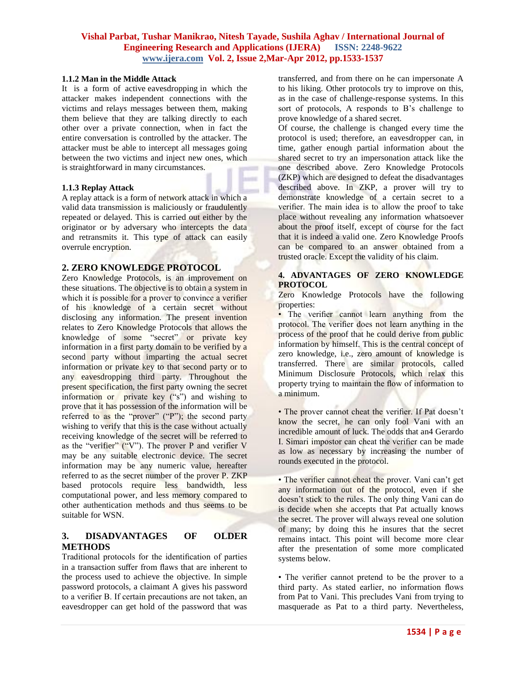#### **1.1.2 Man in the Middle Attack**

It is a form of active [eavesdropping](http://en.wikipedia.org/wiki/Eavesdropping) in which the attacker makes independent connections with the victims and relays messages between them, making them believe that they are talking directly to each other over a private connection, when in fact the entire conversation is controlled by the attacker. The attacker must be able to intercept all messages going between the two victims and inject new ones, which is straightforward in many circumstances.

#### **1.1.3 Replay Attack**

A replay attack is a form of network attack in which a valid data transmission is maliciously or fraudulently repeated or delayed. This is carried out either by the originator or by adversary who intercepts the data and retransmits it. This type of attack can easily overrule encryption.

#### **2. ZERO KNOWLEDGE PROTOCOL**

Zero Knowledge Protocols, is an improvement on these situations. The objective is to obtain a system in which it is possible for a prover to convince a verifier of his knowledge of a certain secret without disclosing any information. The present invention relates to Zero Knowledge Protocols that allows the knowledge of some "secret" or private key information in a first party domain to be verified by a second party without imparting the actual secret information or private key to that second party or to any eavesdropping third party. Throughout the present specification, the first party owning the secret information or private key ("s") and wishing to prove that it has possession of the information will be referred to as the "prover" ("P"); the second party wishing to verify that this is the case without actually receiving knowledge of the secret will be referred to as the "verifier" ("V"). The prover P and verifier V may be any suitable electronic device. The secret information may be any numeric value, hereafter referred to as the secret number of the prover P. ZKP based protocols require less bandwidth, less computational power, and less memory compared to other authentication methods and thus seems to be suitable for WSN.

## **3. DISADVANTAGES OF OLDER METHODS**

Traditional protocols for the identification of parties in a transaction suffer from flaws that are inherent to the process used to achieve the objective. In simple password protocols, a claimant A gives his password to a verifier B. If certain precautions are not taken, an eavesdropper can get hold of the password that was

transferred, and from there on he can impersonate A to his liking. Other protocols try to improve on this, as in the case of challenge-response systems. In this sort of protocols, A responds to B's challenge to prove knowledge of a shared secret.

Of course, the challenge is changed every time the protocol is used; therefore, an eavesdropper can, in time, gather enough partial information about the shared secret to try an impersonation attack like the one described above. Zero Knowledge Protocols (ZKP) which are designed to defeat the disadvantages described above. In ZKP, a prover will try to demonstrate knowledge of a certain secret to a verifier. The main idea is to allow the proof to take place without revealing any information whatsoever about the proof itself, except of course for the fact that it is indeed a valid one. Zero Knowledge Proofs can be compared to an answer obtained from a trusted oracle. Except the validity of his claim.

#### **4. ADVANTAGES OF ZERO KNOWLEDGE PROTOCOL**

Zero Knowledge Protocols have the following properties:

• The verifier cannot learn anything from the protocol. The verifier does not learn anything in the process of the proof that he could derive from public information by himself. This is the central concept of zero knowledge, i.e., zero amount of knowledge is transferred. There are similar protocols, called Minimum Disclosure Protocols, which relax this property trying to maintain the flow of information to a minimum.

• The prover cannot cheat the verifier. If Pat doesn't know the secret, he can only fool Vani with an incredible amount of luck. The odds that an4 Gerardo I. Simari impostor can cheat the verifier can be made as low as necessary by increasing the number of rounds executed in the protocol.

• The verifier cannot cheat the prover. Vani can't get any information out of the protocol, even if she doesn't stick to the rules. The only thing Vani can do is decide when she accepts that Pat actually knows the secret. The prover will always reveal one solution of many; by doing this he insures that the secret remains intact. This point will become more clear after the presentation of some more complicated systems below.

• The verifier cannot pretend to be the prover to a third party. As stated earlier, no information flows from Pat to Vani. This precludes Vani from trying to masquerade as Pat to a third party. Nevertheless,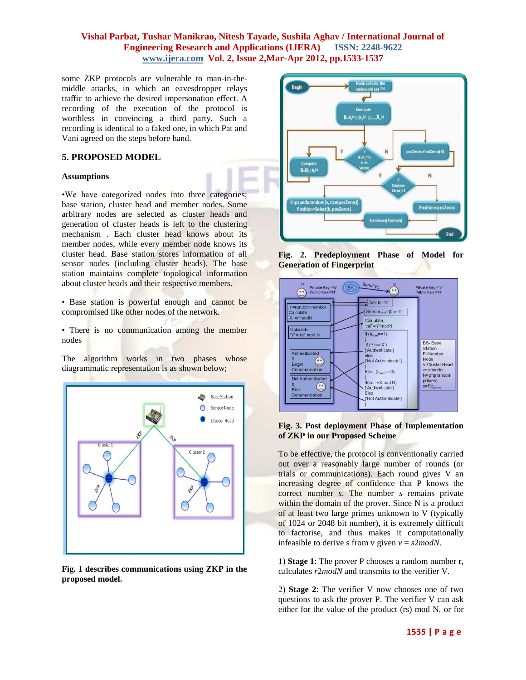some ZKP protocols are vulnerable to man-in-themiddle attacks, in which an eavesdropper relays traffic to achieve the desired impersonation effect. A recording of the execution of the protocol is worthless in convincing a third party. Such a recording is identical to a faked one, in which Pat and Vani agreed on the steps before hand.

## **5. PROPOSED MODEL**

#### **Assumptions**

•We have categorized nodes into three categories; base station, cluster head and member nodes. Some arbitrary nodes are selected as cluster heads and generation of cluster heads is left to the clustering mechanism . Each cluster head knows about its member nodes, while every member node knows its cluster head. Base station stores information of all sensor nodes (including cluster heads). The base station maintains complete topological information about cluster heads and their respective members.

• Base station is powerful enough and cannot be compromised like other nodes of the network.

• There is no communication among the member nodes

The algorithm works in two phases whose diagrammatic representation is as shown below;



**Fig. 1 describes communications using ZKP in the proposed model.**



**Fig. 2. Predeployment Phase of Model for Generation of Fingerprint**



#### **Fig. 3. Post deployment Phase of Implementation of ZKP in our Proposed Scheme**

To be effective, the protocol is conventionally carried out over a reasonably large number of rounds (or trials or communications). Each round gives V an increasing degree of confidence that P knows the correct number *s*. The number *s* remains private within the domain of the prover. Since N is a product of at least two large primes unknown to V (typically of 1024 or 2048 bit number), it is extremely difficult to factorise, and thus makes it computationally infeasible to derive s from *v* given  $v = s2 \text{ mod } N$ .

1) **Stage 1**: The prover P chooses a random number r, calculates *r*2*modN* and transmits to the verifier V.

2) **Stage 2**: The verifier V now chooses one of two questions to ask the prover P. The verifier V can ask either for the value of the product (rs) mod N, or for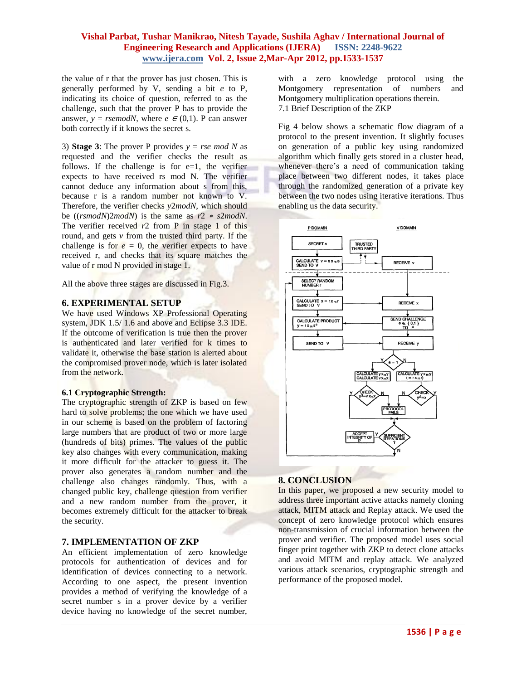the value of r that the prover has just chosen. This is generally performed by V, sending a bit *e* to P, indicating its choice of question, referred to as the challenge, such that the prover P has to provide the answer,  $y =$  *rsemodN*, where  $e \in (0,1)$ . P can answer both correctly if it knows the secret s.

3) **Stage 3**: The prover P provides  $y = rse \mod N$  as requested and the verifier checks the result as follows. If the challenge is for  $e=1$ , the verifier expects to have received rs mod N. The verifier cannot deduce any information about s from this, because r is a random number not known to V. Therefore, the verifier checks *y*2*modN*, which should be ((*rsmodN*)2*modN*) is the same as *r*2 <sup>∗</sup> *s*2*modN*. The verifier received  $r^2$  from P in stage 1 of this round, and gets *v* from the trusted third party. If the challenge is for  $e = 0$ , the verifier expects to have received r, and checks that its square matches the value of r mod N provided in stage 1.

All the above three stages are discussed in Fig.3.

## **6. EXPERIMENTAL SETUP**

We have used Windows XP Professional Operating system, JDK 1.5/ 1.6 and above and Eclipse 3.3 IDE. If the outcome of verification is true then the prover is authenticated and later verified for k times to validate it, otherwise the base station is alerted about the compromised prover node, which is later isolated from the network.

#### **6.1 Cryptographic Strength:**

The cryptographic strength of ZKP is based on few hard to solve problems; the one which we have used in our scheme is based on the problem of factoring large numbers that are product of two or more large (hundreds of bits) primes. The values of the public key also changes with every communication, making it more difficult for the attacker to guess it. The prover also generates a random number and the challenge also changes randomly. Thus, with a changed public key, challenge question from verifier and a new random number from the prover, it becomes extremely difficult for the attacker to break the security.

#### **7. IMPLEMENTATION OF ZKP**

An efficient implementation of zero knowledge protocols for authentication of devices and for identification of devices connecting to a network. According to one aspect, the present invention provides a method of verifying the knowledge of a secret number s in a prover device by a verifier device having no knowledge of the secret number,

with a zero knowledge protocol using the Montgomery representation of numbers and Montgomery multiplication operations therein. 7.1 Brief Description of the ZKP

Fig 4 below shows a schematic flow diagram of a protocol to the present invention. It slightly focuses on generation of a public key using randomized algorithm which finally gets stored in a cluster head, whenever there's a need of communication taking place between two different nodes, it takes place through the randomized generation of a private key between the two nodes using iterative iterations. Thus enabling us the data security.



#### **8. CONCLUSION**

In this paper, we proposed a new security model to address three important active attacks namely cloning attack, MITM attack and Replay attack. We used the concept of zero knowledge protocol which ensures non-transmission of crucial information between the prover and verifier. The proposed model uses social finger print together with ZKP to detect clone attacks and avoid MITM and replay attack. We analyzed various attack scenarios, cryptographic strength and performance of the proposed model.